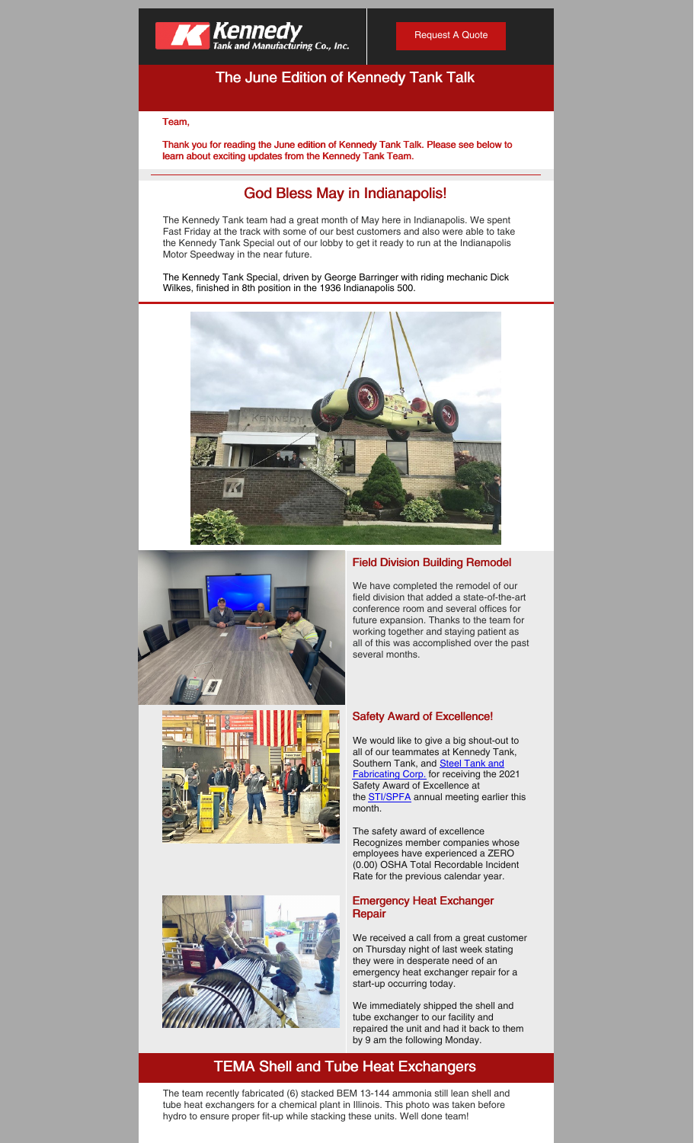

# The June Edition of Kennedy Tank Talk

### Team,

Thank you for reading the June edition of Kennedy Tank Talk. Please see below to learn about exciting updates from the Kennedy Tank Team.

## God Bless May in Indianapolis!

The Kennedy Tank team had a great month of May here in Indianapolis. We spent Fast Friday at the track with some of our best customers and also were able to take the Kennedy Tank Special out of our lobby to get it ready to run at the Indianapolis Motor Speedway in the near future.

The Kennedy Tank Special, driven by George Barringer with riding mechanic Dick Wilkes, finished in 8th position in the 1936 Indianapolis 500.









### Field Division Building Remodel

We have completed the remodel of our field division that added a state-of-the-art conference room and several offices for future expansion. Thanks to the team for working together and staying patient as all of this was accomplished over the past several months.

#### Safety Award of Excellence!

We would like to give a big shout-out to all of our teammates at Kennedy Tank, Southern Tank, and **Steel Tank and** [Fabricating](https://www.linkedin.com/company/steel-tank-and-fabricating/) Corp. for receiving the 2021 Safety Award of Excellence at the **[STI/SPFA](https://www.linkedin.com/company/stispfa/)** annual meeting earlier this month.

The safety award of excellence Recognizes member companies whose employees have experienced a ZERO (0.00) OSHA Total Recordable Incident Rate for the previous calendar year.

#### Emergency Heat Exchanger **Repair**

We received a call from a great customer on Thursday night of last week stating they were in desperate need of an emergency heat exchanger repair for a start-up occurring today.

We immediately shipped the shell and tube exchanger to our facility and repaired the unit and had it back to them by 9 am the following Monday.

# TEMA Shell and Tube Heat Exchangers

The team recently fabricated (6) stacked BEM 13-144 ammonia still lean shell and tube heat exchangers for a chemical plant in Illinois. This photo was taken before hydro to ensure proper fit-up while stacking these units. Well done team!